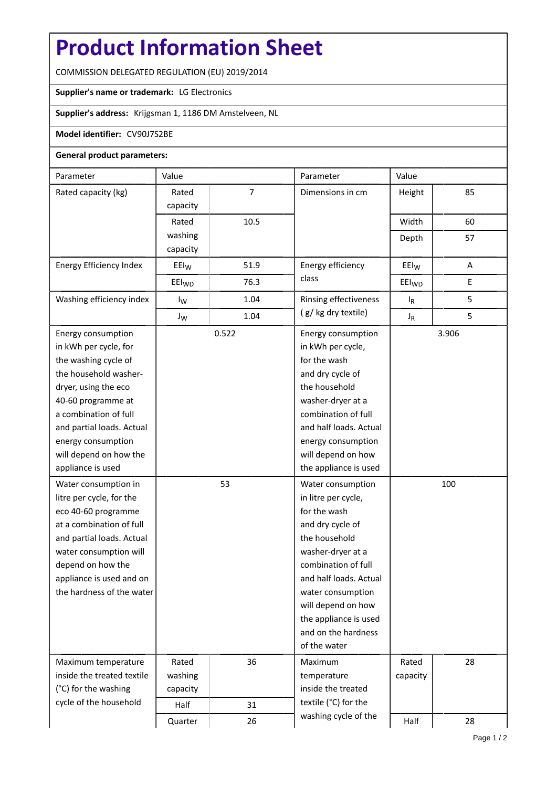# **Product Information Sheet**

COMMISSION DELEGATED REGULATION (EU) 2019/2014

## **Supplier's name or trademark:** LG Electronics

## **Supplier's address:** Krijgsman 1, 1186 DM Amstelveen, NL

#### **Model identifier:** CV90J7S2BE

#### **General product parameters:**

| Parameter                                                                                                                                                                                                                                                             | Value             |                      | Parameter                                                                                                                                                                                                                                                                      | Value             |     |
|-----------------------------------------------------------------------------------------------------------------------------------------------------------------------------------------------------------------------------------------------------------------------|-------------------|----------------------|--------------------------------------------------------------------------------------------------------------------------------------------------------------------------------------------------------------------------------------------------------------------------------|-------------------|-----|
| Rated capacity (kg)                                                                                                                                                                                                                                                   | Rated<br>capacity | 7                    | Dimensions in cm                                                                                                                                                                                                                                                               | Height            | 85  |
|                                                                                                                                                                                                                                                                       | Rated             | 10.5                 |                                                                                                                                                                                                                                                                                | Width             | 60  |
|                                                                                                                                                                                                                                                                       | washing           |                      |                                                                                                                                                                                                                                                                                | Depth             | 57  |
|                                                                                                                                                                                                                                                                       | capacity          |                      |                                                                                                                                                                                                                                                                                |                   |     |
| Energy Efficiency Index                                                                                                                                                                                                                                               | $E E I_W$         | 51.9                 | Energy efficiency<br>class                                                                                                                                                                                                                                                     | EEI <sub>W</sub>  | Α   |
|                                                                                                                                                                                                                                                                       | EEI <sub>WD</sub> | 76.3                 |                                                                                                                                                                                                                                                                                | EEI <sub>WD</sub> | E   |
| Washing efficiency index                                                                                                                                                                                                                                              | $I_{W}$           | 1.04                 | Rinsing effectiveness                                                                                                                                                                                                                                                          | $I_R$             | 5   |
|                                                                                                                                                                                                                                                                       | $J_{W}$           | 1.04                 | (g/kg dry textile)                                                                                                                                                                                                                                                             | $J_R$             | 5   |
| Energy consumption<br>in kWh per cycle, for<br>the washing cycle of<br>the household washer-<br>dryer, using the eco<br>40-60 programme at<br>a combination of full<br>and partial loads. Actual<br>energy consumption<br>will depend on how the<br>appliance is used | 0.522             |                      | Energy consumption<br>in kWh per cycle,<br>for the wash<br>and dry cycle of<br>the household<br>washer-dryer at a<br>combination of full<br>and half loads. Actual<br>energy consumption<br>will depend on how<br>the appliance is used                                        | 3.906             |     |
| Water consumption in<br>litre per cycle, for the<br>eco 40-60 programme<br>at a combination of full<br>and partial loads. Actual<br>water consumption will<br>depend on how the<br>appliance is used and on<br>the hardness of the water                              |                   | 53                   | Water consumption<br>in litre per cycle,<br>for the wash<br>and dry cycle of<br>the household<br>washer-dryer at a<br>combination of full<br>and half loads. Actual<br>water consumption<br>will depend on how<br>the appliance is used<br>and on the hardness<br>of the water |                   | 100 |
| Maximum temperature<br>inside the treated textile                                                                                                                                                                                                                     | Rated<br>washing  | 36                   | Maximum<br>temperature                                                                                                                                                                                                                                                         | Rated<br>capacity | 28  |
| (°C) for the washing                                                                                                                                                                                                                                                  | capacity          |                      | inside the treated                                                                                                                                                                                                                                                             |                   |     |
| cycle of the household                                                                                                                                                                                                                                                | Half<br>31        | textile (°C) for the |                                                                                                                                                                                                                                                                                |                   |     |
|                                                                                                                                                                                                                                                                       | Quarter           | 26                   | washing cycle of the                                                                                                                                                                                                                                                           | Half              | 28  |